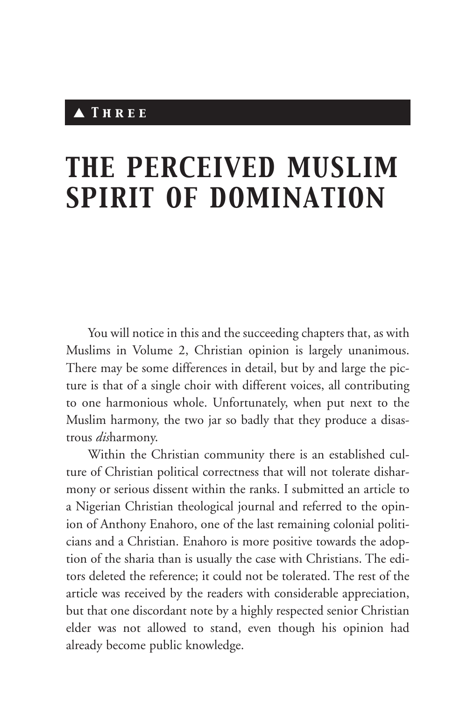# ▲ *Three*

# *THE PERCEIVED MUSLIM SPIRIT OF DOMINATION*

You will notice in this and the succeeding chapters that, as with Muslims in Volume 2, Christian opinion is largely unanimous. There may be some differences in detail, but by and large the picture is that of a single choir with different voices, all contributing to one harmonious whole. Unfortunately, when put next to the Muslim harmony, the two jar so badly that they produce a disastrous *dis*harmony.

Within the Christian community there is an established culture of Christian political correctness that will not tolerate disharmony or serious dissent within the ranks. I submitted an article to a Nigerian Christian theological journal and referred to the opinion of Anthony Enahoro, one of the last remaining colonial politicians and a Christian. Enahoro is more positive towards the adoption of the sharia than is usually the case with Christians. The editors deleted the reference; it could not be tolerated. The rest of the article was received by the readers with considerable appreciation, but that one discordant note by a highly respected senior Christian elder was not allowed to stand, even though his opinion had already become public knowledge.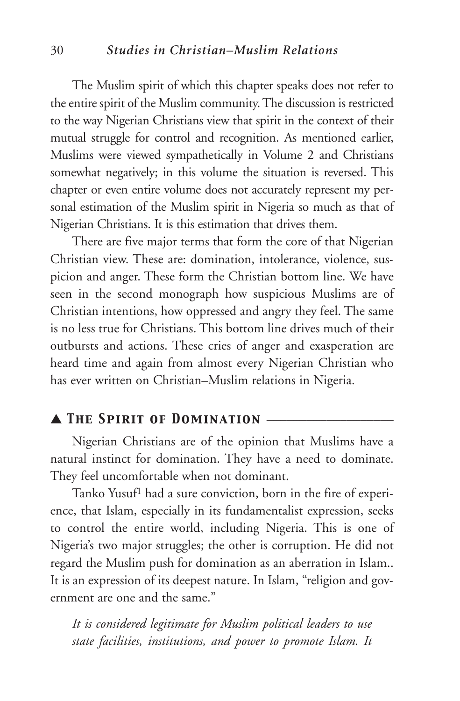#### 30 *Studies in Christian–Muslim Relations*

The Muslim spirit of which this chapter speaks does not refer to the entire spirit of the Muslim community. The discussion is restricted to the way Nigerian Christians view that spirit in the context of their mutual struggle for control and recognition. As mentioned earlier, Muslims were viewed sympathetically in Volume 2 and Christians somewhat negatively; in this volume the situation is reversed. This chapter or even entire volume does not accurately represent my personal estimation of the Muslim spirit in Nigeria so much as that of Nigerian Christians. It is this estimation that drives them.

There are five major terms that form the core of that Nigerian Christian view. These are: domination, intolerance, violence, suspicion and anger. These form the Christian bottom line. We have seen in the second monograph how suspicious Muslims are of Christian intentions, how oppressed and angry they feel. The same is no less true for Christians. This bottom line drives much of their outbursts and actions. These cries of anger and exasperation are heard time and again from almost every Nigerian Christian who has ever written on Christian–Muslim relations in Nigeria.

## ▲ *The Spirit of Domination* \_\_\_\_\_\_\_\_\_\_\_\_\_\_\_\_\_\_\_

Nigerian Christians are of the opinion that Muslims have a natural instinct for domination. They have a need to dominate. They feel uncomfortable when not dominant.

Tanko Yusuf<sup>1</sup> had a sure conviction, born in the fire of experience, that Islam, especially in its fundamentalist expression, seeks to control the entire world, including Nigeria. This is one of Nigeria's two major struggles; the other is corruption. He did not regard the Muslim push for domination as an aberration in Islam.. It is an expression of its deepest nature. In Islam, "religion and government are one and the same."

*It is considered legitimate for Muslim political leaders to use state facilities, institutions, and power to promote Islam. It*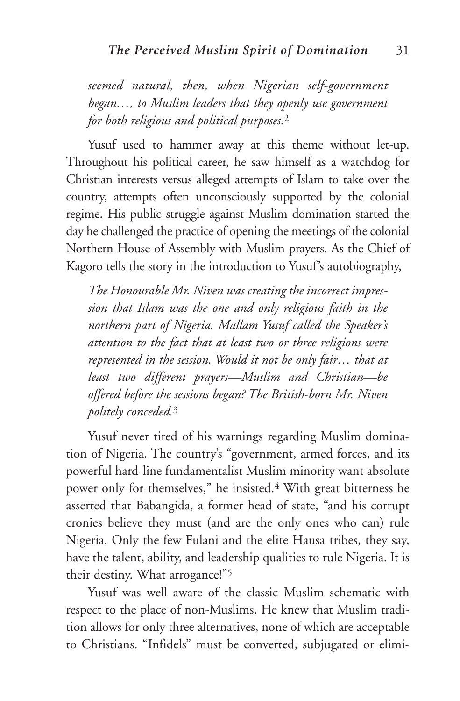*seemed natural, then, when Nigerian self-government began…, to Muslim leaders that they openly use government for both religious and political purposes.*<sup>2</sup>

Yusuf used to hammer away at this theme without let-up. Throughout his political career, he saw himself as a watchdog for Christian interests versus alleged attempts of Islam to take over the country, attempts often unconsciously supported by the colonial regime. His public struggle against Muslim domination started the day he challenged the practice of opening the meetings of the colonial Northern House of Assembly with Muslim prayers. As the Chief of Kagoro tells the story in the introduction to Yusuf's autobiography,

*The Honourable Mr. Niven was creating the incorrect impression that Islam was the one and only religious faith in the northern part of Nigeria. Mallam Yusuf called the Speaker's attention to the fact that at least two or three religions were represented in the session. Would it not be only fair… that at least two different prayers—Muslim and Christian—be offered before the sessions began? The British-born Mr. Niven politely conceded.*<sup>3</sup>

Yusuf never tired of his warnings regarding Muslim domination of Nigeria. The country's "government, armed forces, and its powerful hard-line fundamentalist Muslim minority want absolute power only for themselves," he insisted.4 With great bitterness he asserted that Babangida, a former head of state, "and his corrupt cronies believe they must (and are the only ones who can) rule Nigeria. Only the few Fulani and the elite Hausa tribes, they say, have the talent, ability, and leadership qualities to rule Nigeria. It is their destiny. What arrogance!"5

Yusuf was well aware of the classic Muslim schematic with respect to the place of non-Muslims. He knew that Muslim tradition allows for only three alternatives, none of which are acceptable to Christians. "Infidels" must be converted, subjugated or elimi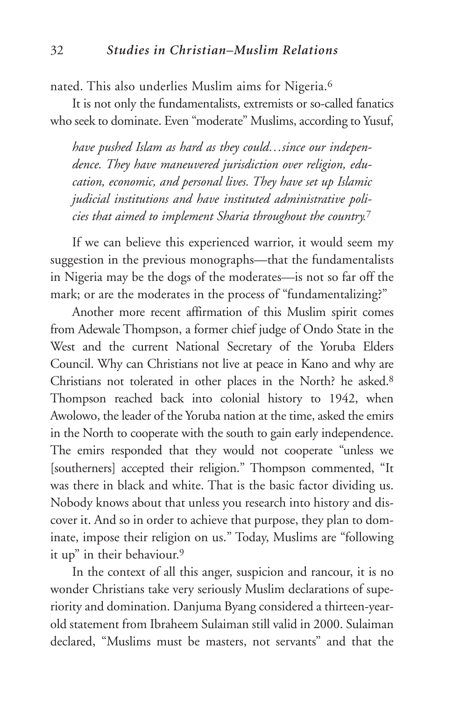nated. This also underlies Muslim aims for Nigeria.6

It is not only the fundamentalists, extremists or so-called fanatics who seek to dominate. Even "moderate" Muslims, according to Yusuf,

*have pushed Islam as hard as they could…since our independence. They have maneuvered jurisdiction over religion, education, economic, and personal lives. They have set up Islamic judicial institutions and have instituted administrative policies that aimed to implement Sharia throughout the country.*<sup>7</sup>

If we can believe this experienced warrior, it would seem my suggestion in the previous monographs—that the fundamentalists in Nigeria may be the dogs of the moderates—is not so far off the mark; or are the moderates in the process of "fundamentalizing?"

Another more recent affirmation of this Muslim spirit comes from Adewale Thompson, a former chief judge of Ondo State in the West and the current National Secretary of the Yoruba Elders Council. Why can Christians not live at peace in Kano and why are Christians not tolerated in other places in the North? he asked.8 Thompson reached back into colonial history to 1942, when Awolowo, the leader of the Yoruba nation at the time, asked the emirs in the North to cooperate with the south to gain early independence. The emirs responded that they would not cooperate "unless we [southerners] accepted their religion." Thompson commented, "It was there in black and white. That is the basic factor dividing us. Nobody knows about that unless you research into history and discover it. And so in order to achieve that purpose, they plan to dominate, impose their religion on us." Today, Muslims are "following it up" in their behaviour.9

In the context of all this anger, suspicion and rancour, it is no wonder Christians take very seriously Muslim declarations of superiority and domination. Danjuma Byang considered a thirteen-yearold statement from Ibraheem Sulaiman still valid in 2000. Sulaiman declared, "Muslims must be masters, not servants" and that the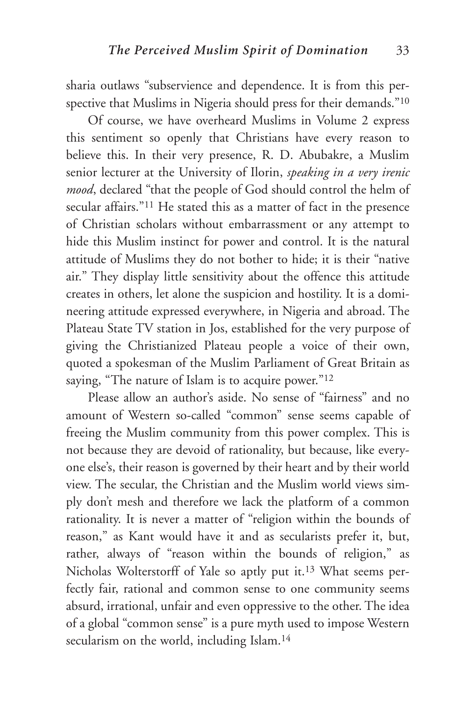sharia outlaws "subservience and dependence. It is from this perspective that Muslims in Nigeria should press for their demands."<sup>10</sup>

Of course, we have overheard Muslims in Volume 2 express this sentiment so openly that Christians have every reason to believe this. In their very presence, R. D. Abubakre, a Muslim senior lecturer at the University of Ilorin, *speaking in a very irenic mood*, declared "that the people of God should control the helm of secular affairs."11 He stated this as a matter of fact in the presence of Christian scholars without embarrassment or any attempt to hide this Muslim instinct for power and control. It is the natural attitude of Muslims they do not bother to hide; it is their "native air." They display little sensitivity about the offence this attitude creates in others, let alone the suspicion and hostility. It is a domineering attitude expressed everywhere, in Nigeria and abroad. The Plateau State TV station in Jos, established for the very purpose of giving the Christianized Plateau people a voice of their own, quoted a spokesman of the Muslim Parliament of Great Britain as saying, "The nature of Islam is to acquire power."<sup>12</sup>

Please allow an author's aside. No sense of "fairness" and no amount of Western so-called "common" sense seems capable of freeing the Muslim community from this power complex. This is not because they are devoid of rationality, but because, like everyone else's, their reason is governed by their heart and by their world view. The secular, the Christian and the Muslim world views simply don't mesh and therefore we lack the platform of a common rationality. It is never a matter of "religion within the bounds of reason," as Kant would have it and as secularists prefer it, but, rather, always of "reason within the bounds of religion," as Nicholas Wolterstorff of Yale so aptly put it.13 What seems perfectly fair, rational and common sense to one community seems absurd, irrational, unfair and even oppressive to the other. The idea of a global "common sense" is a pure myth used to impose Western secularism on the world, including Islam.<sup>14</sup>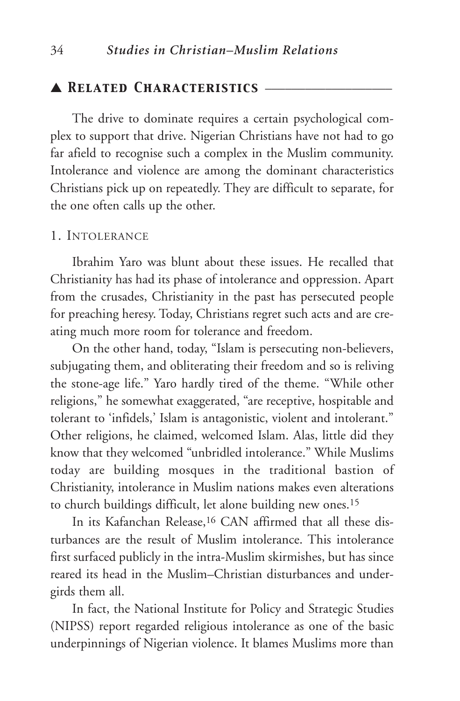#### ▲ *Related Characteristics* \_\_\_\_\_\_\_\_\_\_\_\_\_\_\_\_\_\_\_

The drive to dominate requires a certain psychological complex to support that drive. Nigerian Christians have not had to go far afield to recognise such a complex in the Muslim community. Intolerance and violence are among the dominant characteristics Christians pick up on repeatedly. They are difficult to separate, for the one often calls up the other.

#### 1. INTOLERANCE

Ibrahim Yaro was blunt about these issues. He recalled that Christianity has had its phase of intolerance and oppression. Apart from the crusades, Christianity in the past has persecuted people for preaching heresy. Today, Christians regret such acts and are creating much more room for tolerance and freedom.

On the other hand, today, "Islam is persecuting non-believers, subjugating them, and obliterating their freedom and so is reliving the stone-age life." Yaro hardly tired of the theme. "While other religions," he somewhat exaggerated, "are receptive, hospitable and tolerant to 'infidels,' Islam is antagonistic, violent and intolerant." Other religions, he claimed, welcomed Islam. Alas, little did they know that they welcomed "unbridled intolerance." While Muslims today are building mosques in the traditional bastion of Christianity, intolerance in Muslim nations makes even alterations to church buildings difficult, let alone building new ones.15

In its Kafanchan Release,<sup>16</sup> CAN affirmed that all these disturbances are the result of Muslim intolerance. This intolerance first surfaced publicly in the intra-Muslim skirmishes, but has since reared its head in the Muslim–Christian disturbances and undergirds them all.

In fact, the National Institute for Policy and Strategic Studies (NIPSS) report regarded religious intolerance as one of the basic underpinnings of Nigerian violence. It blames Muslims more than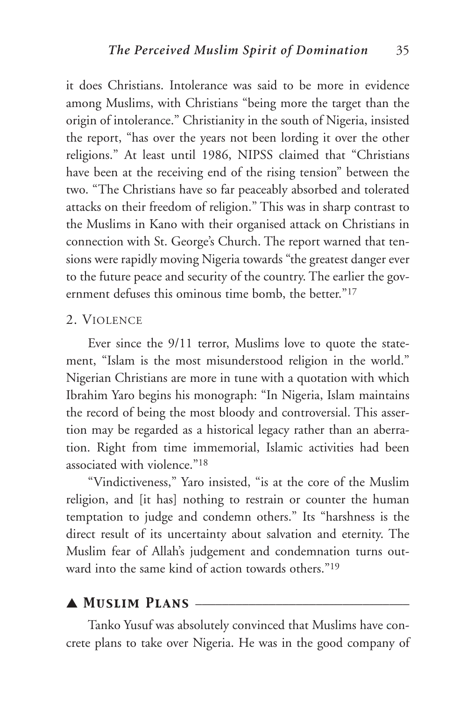it does Christians. Intolerance was said to be more in evidence among Muslims, with Christians "being more the target than the origin of intolerance." Christianity in the south of Nigeria, insisted the report, "has over the years not been lording it over the other religions." At least until 1986, NIPSS claimed that "Christians have been at the receiving end of the rising tension" between the two. "The Christians have so far peaceably absorbed and tolerated attacks on their freedom of religion." This was in sharp contrast to the Muslims in Kano with their organised attack on Christians in connection with St. George's Church. The report warned that tensions were rapidly moving Nigeria towards "the greatest danger ever to the future peace and security of the country. The earlier the government defuses this ominous time bomb, the better."17

## 2. VIOLENCE

Ever since the 9/11 terror, Muslims love to quote the statement, "Islam is the most misunderstood religion in the world." Nigerian Christians are more in tune with a quotation with which Ibrahim Yaro begins his monograph: "In Nigeria, Islam maintains the record of being the most bloody and controversial. This assertion may be regarded as a historical legacy rather than an aberration. Right from time immemorial, Islamic activities had been associated with violence."18

"Vindictiveness," Yaro insisted, "is at the core of the Muslim religion, and [it has] nothing to restrain or counter the human temptation to judge and condemn others." Its "harshness is the direct result of its uncertainty about salvation and eternity. The Muslim fear of Allah's judgement and condemnation turns outward into the same kind of action towards others."19

# ▲ *Muslim Plans* \_\_\_\_\_\_\_\_\_\_\_\_\_\_\_\_\_\_\_\_\_\_\_\_\_\_\_\_\_\_\_\_

Tanko Yusuf was absolutely convinced that Muslims have concrete plans to take over Nigeria. He was in the good company of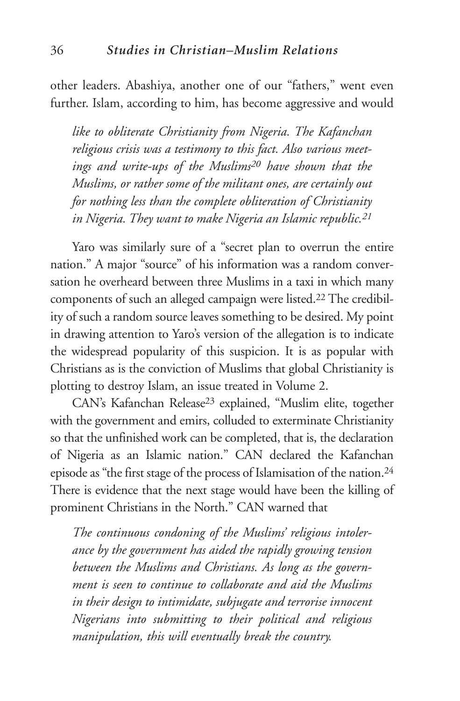other leaders. Abashiya, another one of our "fathers," went even further. Islam, according to him, has become aggressive and would

*like to obliterate Christianity from Nigeria. The Kafanchan religious crisis was a testimony to this fact. Also various meetings and write-ups of the Muslims20 have shown that the Muslims, or rather some of the militant ones, are certainly out for nothing less than the complete obliteration of Christianity in Nigeria. They want to make Nigeria an Islamic republic.21* 

Yaro was similarly sure of a "secret plan to overrun the entire nation." A major "source" of his information was a random conversation he overheard between three Muslims in a taxi in which many components of such an alleged campaign were listed.<sup>22</sup> The credibility of such a random source leaves something to be desired. My point in drawing attention to Yaro's version of the allegation is to indicate the widespread popularity of this suspicion. It is as popular with Christians as is the conviction of Muslims that global Christianity is plotting to destroy Islam, an issue treated in Volume 2.

CAN's Kafanchan Release23 explained, "Muslim elite, together with the government and emirs, colluded to exterminate Christianity so that the unfinished work can be completed, that is, the declaration of Nigeria as an Islamic nation." CAN declared the Kafanchan episode as "the first stage of the process of Islamisation of the nation.<sup>24</sup> There is evidence that the next stage would have been the killing of prominent Christians in the North." CAN warned that

*The continuous condoning of the Muslims' religious intolerance by the government has aided the rapidly growing tension between the Muslims and Christians. As long as the government is seen to continue to collaborate and aid the Muslims in their design to intimidate, subjugate and terrorise innocent Nigerians into submitting to their political and religious manipulation, this will eventually break the country.*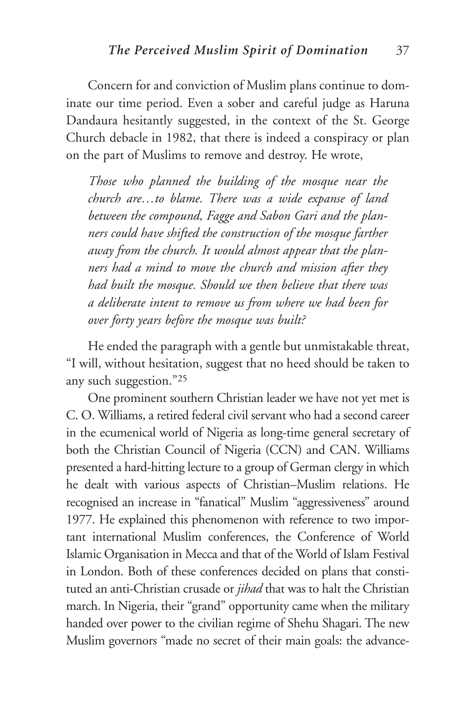Concern for and conviction of Muslim plans continue to dominate our time period. Even a sober and careful judge as Haruna Dandaura hesitantly suggested, in the context of the St. George Church debacle in 1982, that there is indeed a conspiracy or plan on the part of Muslims to remove and destroy. He wrote,

*Those who planned the building of the mosque near the church are…to blame. There was a wide expanse of land between the compound, Fagge and Sabon Gari and the planners could have shifted the construction of the mosque farther away from the church. It would almost appear that the planners had a mind to move the church and mission after they had built the mosque. Should we then believe that there was a deliberate intent to remove us from where we had been for over forty years before the mosque was built?* 

He ended the paragraph with a gentle but unmistakable threat, "I will, without hesitation, suggest that no heed should be taken to any such suggestion."25

One prominent southern Christian leader we have not yet met is C. O. Williams, a retired federal civil servant who had a second career in the ecumenical world of Nigeria as long-time general secretary of both the Christian Council of Nigeria (CCN) and CAN. Williams presented a hard-hitting lecture to a group of German clergy in which he dealt with various aspects of Christian–Muslim relations. He recognised an increase in "fanatical" Muslim "aggressiveness" around 1977. He explained this phenomenon with reference to two important international Muslim conferences, the Conference of World Islamic Organisation in Mecca and that of the World of Islam Festival in London. Both of these conferences decided on plans that constituted an anti-Christian crusade or *jihad* that was to halt the Christian march. In Nigeria, their "grand" opportunity came when the military handed over power to the civilian regime of Shehu Shagari. The new Muslim governors "made no secret of their main goals: the advance-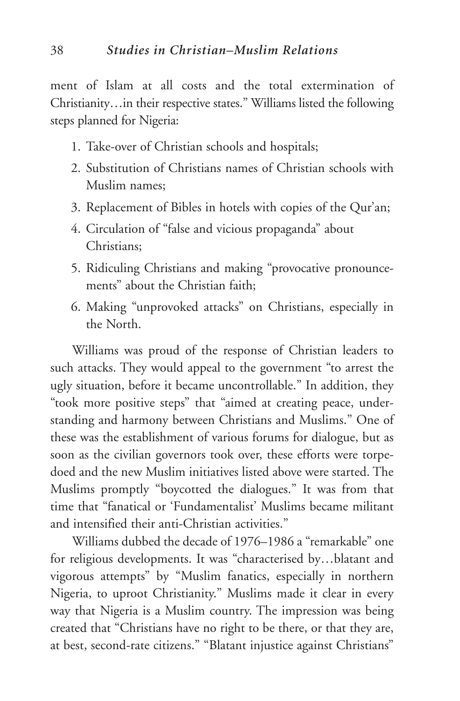ment of Islam at all costs and the total extermination of Christianity…in their respective states." Williams listed the following steps planned for Nigeria:

- 1. Take-over of Christian schools and hospitals;
- 2. Substitution of Christians names of Christian schools with Muslim names;
- 3. Replacement of Bibles in hotels with copies of the Qur'an;
- 4. Circulation of "false and vicious propaganda" about Christians;
- 5. Ridiculing Christians and making "provocative pronouncements" about the Christian faith;
- 6. Making "unprovoked attacks" on Christians, especially in the North.

Williams was proud of the response of Christian leaders to such attacks. They would appeal to the government "to arrest the ugly situation, before it became uncontrollable." In addition, they "took more positive steps" that "aimed at creating peace, understanding and harmony between Christians and Muslims." One of these was the establishment of various forums for dialogue, but as soon as the civilian governors took over, these efforts were torpedoed and the new Muslim initiatives listed above were started. The Muslims promptly "boycotted the dialogues." It was from that time that "fanatical or 'Fundamentalist' Muslims became militant and intensified their anti-Christian activities."

Williams dubbed the decade of 1976–1986 a "remarkable" one for religious developments. It was "characterised by…blatant and vigorous attempts" by "Muslim fanatics, especially in northern Nigeria, to uproot Christianity." Muslims made it clear in every way that Nigeria is a Muslim country. The impression was being created that "Christians have no right to be there, or that they are, at best, second-rate citizens." "Blatant injustice against Christians"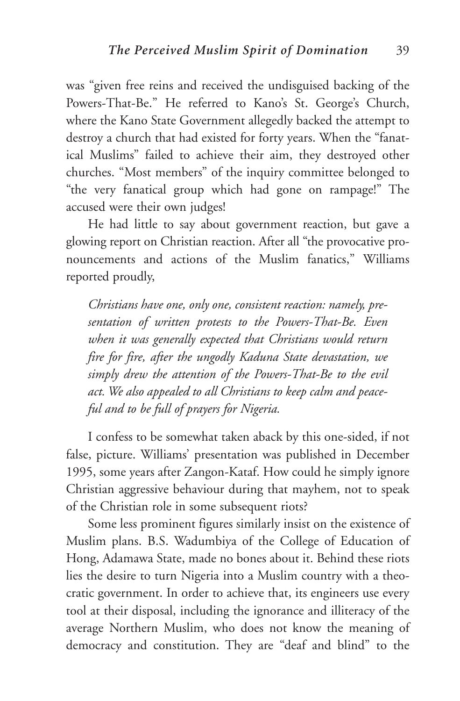was "given free reins and received the undisguised backing of the Powers-That-Be." He referred to Kano's St. George's Church, where the Kano State Government allegedly backed the attempt to destroy a church that had existed for forty years. When the "fanatical Muslims" failed to achieve their aim, they destroyed other churches. "Most members" of the inquiry committee belonged to "the very fanatical group which had gone on rampage!" The accused were their own judges!

He had little to say about government reaction, but gave a glowing report on Christian reaction. After all "the provocative pronouncements and actions of the Muslim fanatics," Williams reported proudly,

*Christians have one, only one, consistent reaction: namely, presentation of written protests to the Powers-That-Be. Even when it was generally expected that Christians would return fire for fire, after the ungodly Kaduna State devastation, we simply drew the attention of the Powers-That-Be to the evil act. We also appealed to all Christians to keep calm and peaceful and to be full of prayers for Nigeria.* 

I confess to be somewhat taken aback by this one-sided, if not false, picture. Williams' presentation was published in December 1995, some years after Zangon-Kataf. How could he simply ignore Christian aggressive behaviour during that mayhem, not to speak of the Christian role in some subsequent riots?

Some less prominent figures similarly insist on the existence of Muslim plans. B.S. Wadumbiya of the College of Education of Hong, Adamawa State, made no bones about it. Behind these riots lies the desire to turn Nigeria into a Muslim country with a theocratic government. In order to achieve that, its engineers use every tool at their disposal, including the ignorance and illiteracy of the average Northern Muslim, who does not know the meaning of democracy and constitution. They are "deaf and blind" to the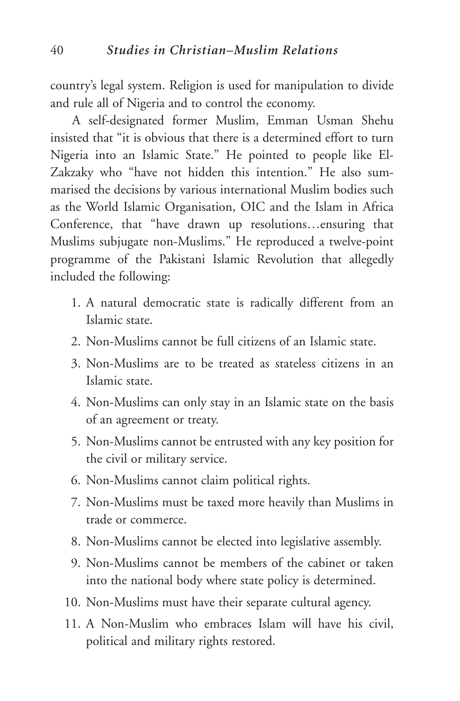country's legal system. Religion is used for manipulation to divide and rule all of Nigeria and to control the economy.

A self-designated former Muslim, Emman Usman Shehu insisted that "it is obvious that there is a determined effort to turn Nigeria into an Islamic State." He pointed to people like El-Zakzaky who "have not hidden this intention." He also summarised the decisions by various international Muslim bodies such as the World Islamic Organisation, OIC and the Islam in Africa Conference, that "have drawn up resolutions…ensuring that Muslims subjugate non-Muslims." He reproduced a twelve-point programme of the Pakistani Islamic Revolution that allegedly included the following:

- 1. A natural democratic state is radically different from an Islamic state.
- 2. Non-Muslims cannot be full citizens of an Islamic state.
- 3. Non-Muslims are to be treated as stateless citizens in an Islamic state.
- 4. Non-Muslims can only stay in an Islamic state on the basis of an agreement or treaty.
- 5. Non-Muslims cannot be entrusted with any key position for the civil or military service.
- 6. Non-Muslims cannot claim political rights.
- 7. Non-Muslims must be taxed more heavily than Muslims in trade or commerce.
- 8. Non-Muslims cannot be elected into legislative assembly.
- 9. Non-Muslims cannot be members of the cabinet or taken into the national body where state policy is determined.
- 10. Non-Muslims must have their separate cultural agency.
- 11. A Non-Muslim who embraces Islam will have his civil, political and military rights restored.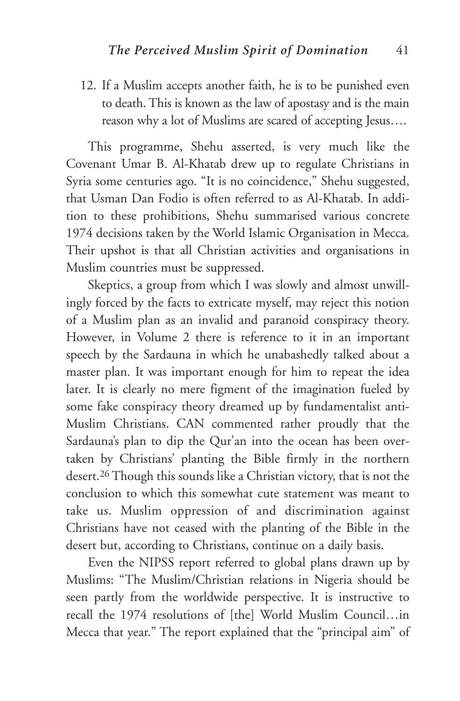12. If a Muslim accepts another faith, he is to be punished even to death. This is known as the law of apostasy and is the main reason why a lot of Muslims are scared of accepting Jesus….

This programme, Shehu asserted, is very much like the Covenant Umar B. Al-Khatab drew up to regulate Christians in Syria some centuries ago. "It is no coincidence," Shehu suggested, that Usman Dan Fodio is often referred to as Al-Khatab. In addition to these prohibitions, Shehu summarised various concrete 1974 decisions taken by the World Islamic Organisation in Mecca. Their upshot is that all Christian activities and organisations in Muslim countries must be suppressed.

Skeptics, a group from which I was slowly and almost unwillingly forced by the facts to extricate myself, may reject this notion of a Muslim plan as an invalid and paranoid conspiracy theory. However, in Volume 2 there is reference to it in an important speech by the Sardauna in which he unabashedly talked about a master plan. It was important enough for him to repeat the idea later. It is clearly no mere figment of the imagination fueled by some fake conspiracy theory dreamed up by fundamentalist anti-Muslim Christians. CAN commented rather proudly that the Sardauna's plan to dip the Qur'an into the ocean has been overtaken by Christians' planting the Bible firmly in the northern desert.26 Though this sounds like a Christian victory, that is not the conclusion to which this somewhat cute statement was meant to take us. Muslim oppression of and discrimination against Christians have not ceased with the planting of the Bible in the desert but, according to Christians, continue on a daily basis.

Even the NIPSS report referred to global plans drawn up by Muslims: "The Muslim/Christian relations in Nigeria should be seen partly from the worldwide perspective. It is instructive to recall the 1974 resolutions of [the] World Muslim Council…in Mecca that year." The report explained that the "principal aim" of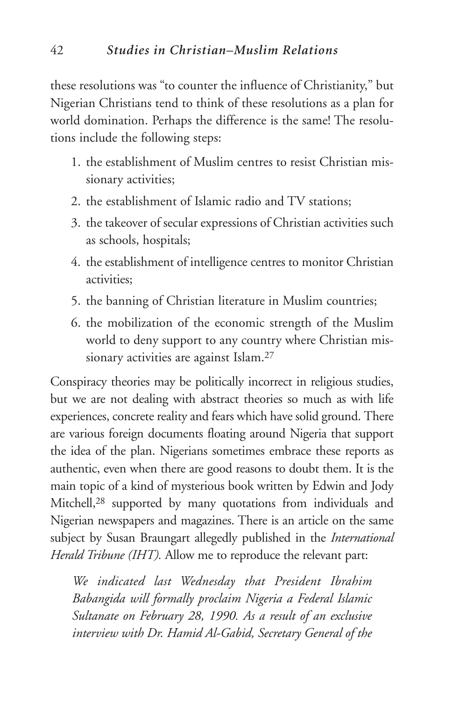these resolutions was "to counter the influence of Christianity," but Nigerian Christians tend to think of these resolutions as a plan for world domination. Perhaps the difference is the same! The resolutions include the following steps:

- 1. the establishment of Muslim centres to resist Christian missionary activities;
- 2. the establishment of Islamic radio and TV stations;
- 3. the takeover of secular expressions of Christian activities such as schools, hospitals;
- 4. the establishment of intelligence centres to monitor Christian activities;
- 5. the banning of Christian literature in Muslim countries;
- 6. the mobilization of the economic strength of the Muslim world to deny support to any country where Christian missionary activities are against Islam.27

Conspiracy theories may be politically incorrect in religious studies, but we are not dealing with abstract theories so much as with life experiences, concrete reality and fears which have solid ground. There are various foreign documents floating around Nigeria that support the idea of the plan. Nigerians sometimes embrace these reports as authentic, even when there are good reasons to doubt them. It is the main topic of a kind of mysterious book written by Edwin and Jody Mitchell,28 supported by many quotations from individuals and Nigerian newspapers and magazines. There is an article on the same subject by Susan Braungart allegedly published in the *International Herald Tribune (IHT).* Allow me to reproduce the relevant part:

*We indicated last Wednesday that President Ibrahim Babangida will formally proclaim Nigeria a Federal Islamic Sultanate on February 28, 1990. As a result of an exclusive interview with Dr. Hamid Al-Gabid, Secretary General of the*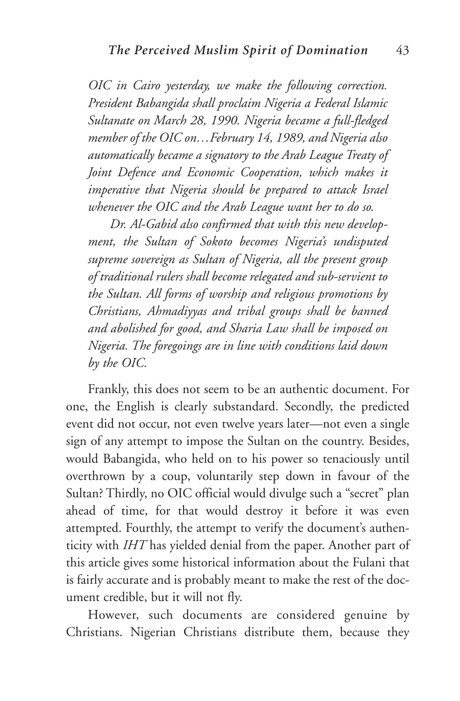*OIC in Cairo yesterday, we make the following correction. President Babangida shall proclaim Nigeria a Federal Islamic Sultanate on March 28, 1990. Nigeria became a full-fledged member of the OIC on…February 14, 1989, and Nigeria also automatically became a signatory to the Arab League Treaty of Joint Defence and Economic Cooperation, which makes it imperative that Nigeria should be prepared to attack Israel whenever the OIC and the Arab League want her to do so.* 

*Dr. Al-Gabid also confirmed that with this new development, the Sultan of Sokoto becomes Nigeria's undisputed supreme sovereign as Sultan of Nigeria, all the present group of traditional rulers shall become relegated and sub-servient to the Sultan. All forms of worship and religious promotions by Christians, Ahmadiyyas and tribal groups shall be banned and abolished for good, and Sharia Law shall be imposed on Nigeria. The foregoings are in line with conditions laid down by the OIC.*

Frankly, this does not seem to be an authentic document. For one, the English is clearly substandard. Secondly, the predicted event did not occur, not even twelve years later—not even a single sign of any attempt to impose the Sultan on the country. Besides, would Babangida, who held on to his power so tenaciously until overthrown by a coup, voluntarily step down in favour of the Sultan? Thirdly, no OIC official would divulge such a "secret" plan ahead of time, for that would destroy it before it was even attempted. Fourthly, the attempt to verify the document's authenticity with *IHT* has yielded denial from the paper. Another part of this article gives some historical information about the Fulani that is fairly accurate and is probably meant to make the rest of the document credible, but it will not fly.

However, such documents are considered genuine by Christians. Nigerian Christians distribute them, because they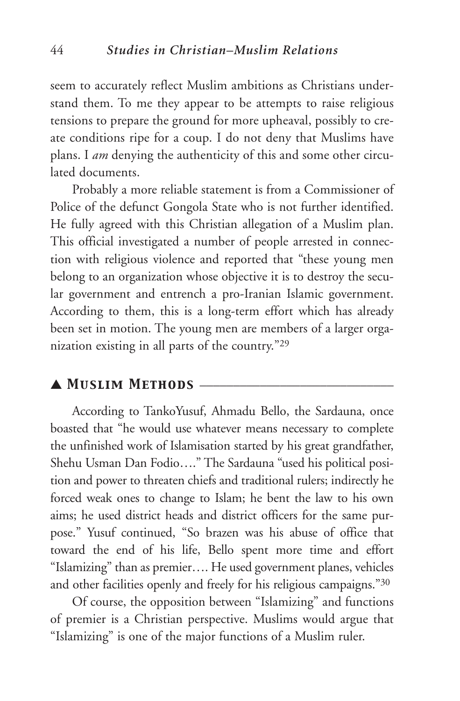seem to accurately reflect Muslim ambitions as Christians understand them. To me they appear to be attempts to raise religious tensions to prepare the ground for more upheaval, possibly to create conditions ripe for a coup. I do not deny that Muslims have plans. I *am* denying the authenticity of this and some other circulated documents.

Probably a more reliable statement is from a Commissioner of Police of the defunct Gongola State who is not further identified. He fully agreed with this Christian allegation of a Muslim plan. This official investigated a number of people arrested in connection with religious violence and reported that "these young men belong to an organization whose objective it is to destroy the secular government and entrench a pro-Iranian Islamic government. According to them, this is a long-term effort which has already been set in motion. The young men are members of a larger organization existing in all parts of the country."29

## $\blacktriangle$  **Muslim Methods** —

According to TankoYusuf, Ahmadu Bello, the Sardauna, once boasted that "he would use whatever means necessary to complete the unfinished work of Islamisation started by his great grandfather, Shehu Usman Dan Fodio…." The Sardauna "used his political position and power to threaten chiefs and traditional rulers; indirectly he forced weak ones to change to Islam; he bent the law to his own aims; he used district heads and district officers for the same purpose." Yusuf continued, "So brazen was his abuse of office that toward the end of his life, Bello spent more time and effort "Islamizing" than as premier…. He used government planes, vehicles and other facilities openly and freely for his religious campaigns."30

Of course, the opposition between "Islamizing" and functions of premier is a Christian perspective. Muslims would argue that "Islamizing" is one of the major functions of a Muslim ruler.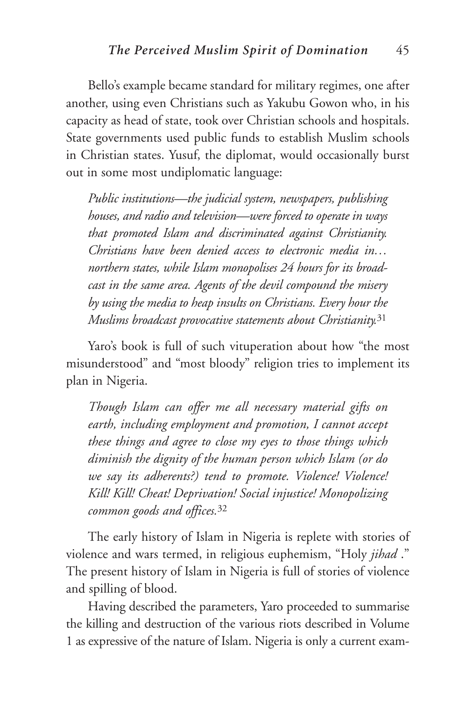Bello's example became standard for military regimes, one after another, using even Christians such as Yakubu Gowon who, in his capacity as head of state, took over Christian schools and hospitals. State governments used public funds to establish Muslim schools in Christian states. Yusuf, the diplomat, would occasionally burst out in some most undiplomatic language:

*Public institutions—the judicial system, newspapers, publishing houses, and radio and television—were forced to operate in ways that promoted Islam and discriminated against Christianity. Christians have been denied access to electronic media in… northern states, while Islam monopolises 24 hours for its broadcast in the same area. Agents of the devil compound the misery by using the media to heap insults on Christians. Every hour the Muslims broadcast provocative statements about Christianity.*<sup>31</sup>

Yaro's book is full of such vituperation about how "the most misunderstood" and "most bloody" religion tries to implement its plan in Nigeria.

*Though Islam can offer me all necessary material gifts on earth, including employment and promotion, I cannot accept these things and agree to close my eyes to those things which diminish the dignity of the human person which Islam (or do we say its adherents?) tend to promote. Violence! Violence! Kill! Kill! Cheat! Deprivation! Social injustice! Monopolizing common goods and offices.*<sup>32</sup>

The early history of Islam in Nigeria is replete with stories of violence and wars termed, in religious euphemism, "Holy *jihad* ." The present history of Islam in Nigeria is full of stories of violence and spilling of blood.

Having described the parameters, Yaro proceeded to summarise the killing and destruction of the various riots described in Volume 1 as expressive of the nature of Islam. Nigeria is only a current exam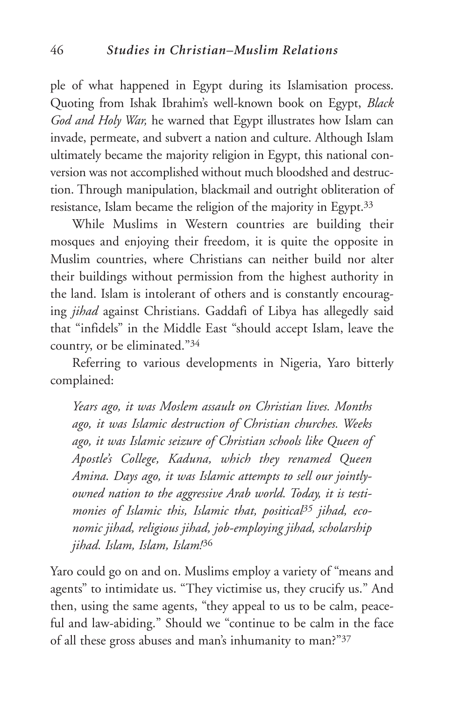ple of what happened in Egypt during its Islamisation process. Quoting from Ishak Ibrahim's well-known book on Egypt, *Black God and Holy War,* he warned that Egypt illustrates how Islam can invade, permeate, and subvert a nation and culture. Although Islam ultimately became the majority religion in Egypt, this national conversion was not accomplished without much bloodshed and destruction. Through manipulation, blackmail and outright obliteration of resistance, Islam became the religion of the majority in Egypt.33

While Muslims in Western countries are building their mosques and enjoying their freedom, it is quite the opposite in Muslim countries, where Christians can neither build nor alter their buildings without permission from the highest authority in the land. Islam is intolerant of others and is constantly encouraging *jihad* against Christians. Gaddafi of Libya has allegedly said that "infidels" in the Middle East "should accept Islam, leave the country, or be eliminated."34

Referring to various developments in Nigeria, Yaro bitterly complained:

*Years ago, it was Moslem assault on Christian lives. Months ago, it was Islamic destruction of Christian churches. Weeks ago, it was Islamic seizure of Christian schools like Queen of Apostle's College, Kaduna, which they renamed Queen Amina. Days ago, it was Islamic attempts to sell our jointlyowned nation to the aggressive Arab world. Today, it is testimonies of Islamic this, Islamic that, positical35 jihad, economic jihad, religious jihad, job-employing jihad, scholarship jihad. Islam, Islam, Islam!*<sup>36</sup>

Yaro could go on and on. Muslims employ a variety of "means and agents" to intimidate us. "They victimise us, they crucify us." And then, using the same agents, "they appeal to us to be calm, peaceful and law-abiding." Should we "continue to be calm in the face of all these gross abuses and man's inhumanity to man?"37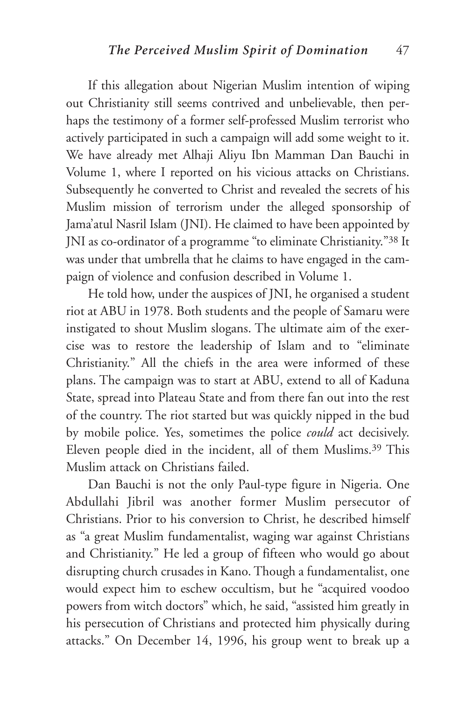If this allegation about Nigerian Muslim intention of wiping out Christianity still seems contrived and unbelievable, then perhaps the testimony of a former self-professed Muslim terrorist who actively participated in such a campaign will add some weight to it. We have already met Alhaji Aliyu Ibn Mamman Dan Bauchi in Volume 1, where I reported on his vicious attacks on Christians. Subsequently he converted to Christ and revealed the secrets of his Muslim mission of terrorism under the alleged sponsorship of Jama'atul Nasril Islam (JNI). He claimed to have been appointed by JNI as co-ordinator of a programme "to eliminate Christianity."38 It was under that umbrella that he claims to have engaged in the campaign of violence and confusion described in Volume 1.

He told how, under the auspices of JNI, he organised a student riot at ABU in 1978. Both students and the people of Samaru were instigated to shout Muslim slogans. The ultimate aim of the exercise was to restore the leadership of Islam and to "eliminate Christianity." All the chiefs in the area were informed of these plans. The campaign was to start at ABU, extend to all of Kaduna State, spread into Plateau State and from there fan out into the rest of the country. The riot started but was quickly nipped in the bud by mobile police. Yes, sometimes the police *could* act decisively. Eleven people died in the incident, all of them Muslims.39 This Muslim attack on Christians failed.

Dan Bauchi is not the only Paul-type figure in Nigeria. One Abdullahi Jibril was another former Muslim persecutor of Christians. Prior to his conversion to Christ, he described himself as "a great Muslim fundamentalist, waging war against Christians and Christianity." He led a group of fifteen who would go about disrupting church crusades in Kano. Though a fundamentalist, one would expect him to eschew occultism, but he "acquired voodoo powers from witch doctors" which, he said, "assisted him greatly in his persecution of Christians and protected him physically during attacks." On December 14, 1996, his group went to break up a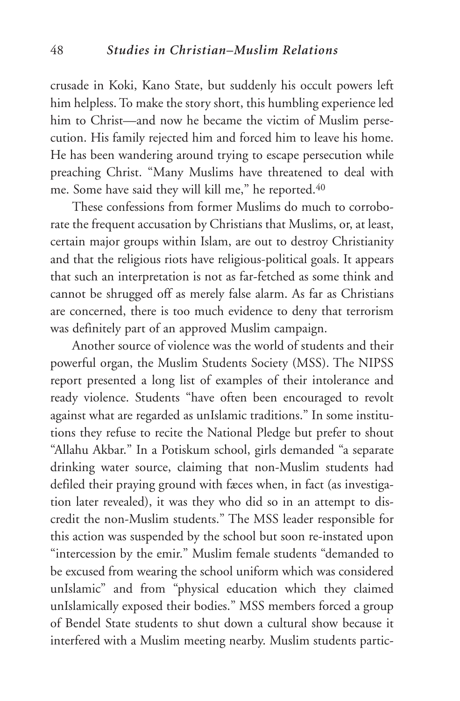crusade in Koki, Kano State, but suddenly his occult powers left him helpless. To make the story short, this humbling experience led him to Christ—and now he became the victim of Muslim persecution. His family rejected him and forced him to leave his home. He has been wandering around trying to escape persecution while preaching Christ. "Many Muslims have threatened to deal with me. Some have said they will kill me," he reported.40

These confessions from former Muslims do much to corroborate the frequent accusation by Christians that Muslims, or, at least, certain major groups within Islam, are out to destroy Christianity and that the religious riots have religious-political goals. It appears that such an interpretation is not as far-fetched as some think and cannot be shrugged off as merely false alarm. As far as Christians are concerned, there is too much evidence to deny that terrorism was definitely part of an approved Muslim campaign.

Another source of violence was the world of students and their powerful organ, the Muslim Students Society (MSS). The NIPSS report presented a long list of examples of their intolerance and ready violence. Students "have often been encouraged to revolt against what are regarded as unIslamic traditions." In some institutions they refuse to recite the National Pledge but prefer to shout "Allahu Akbar." In a Potiskum school, girls demanded "a separate drinking water source, claiming that non-Muslim students had defiled their praying ground with fæces when, in fact (as investigation later revealed), it was they who did so in an attempt to discredit the non-Muslim students." The MSS leader responsible for this action was suspended by the school but soon re-instated upon "intercession by the emir." Muslim female students "demanded to be excused from wearing the school uniform which was considered unIslamic" and from "physical education which they claimed unIslamically exposed their bodies." MSS members forced a group of Bendel State students to shut down a cultural show because it interfered with a Muslim meeting nearby. Muslim students partic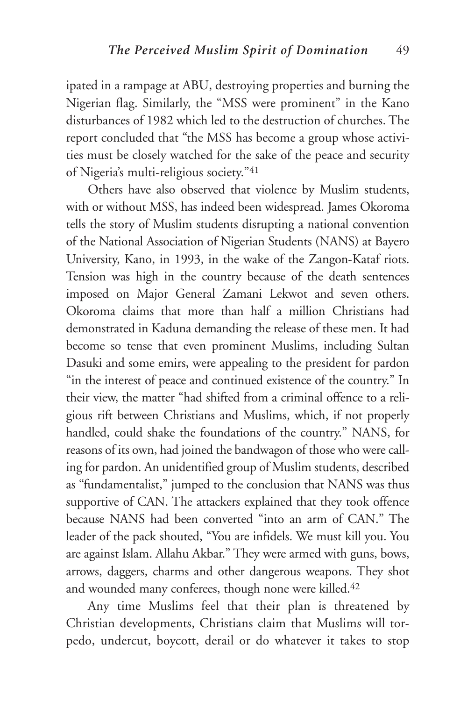ipated in a rampage at ABU, destroying properties and burning the Nigerian flag. Similarly, the "MSS were prominent" in the Kano disturbances of 1982 which led to the destruction of churches. The report concluded that "the MSS has become a group whose activities must be closely watched for the sake of the peace and security of Nigeria's multi-religious society."41

Others have also observed that violence by Muslim students, with or without MSS, has indeed been widespread. James Okoroma tells the story of Muslim students disrupting a national convention of the National Association of Nigerian Students (NANS) at Bayero University, Kano, in 1993, in the wake of the Zangon-Kataf riots. Tension was high in the country because of the death sentences imposed on Major General Zamani Lekwot and seven others. Okoroma claims that more than half a million Christians had demonstrated in Kaduna demanding the release of these men. It had become so tense that even prominent Muslims, including Sultan Dasuki and some emirs, were appealing to the president for pardon "in the interest of peace and continued existence of the country." In their view, the matter "had shifted from a criminal offence to a religious rift between Christians and Muslims, which, if not properly handled, could shake the foundations of the country." NANS, for reasons of its own, had joined the bandwagon of those who were calling for pardon. An unidentified group of Muslim students, described as "fundamentalist," jumped to the conclusion that NANS was thus supportive of CAN. The attackers explained that they took offence because NANS had been converted "into an arm of CAN." The leader of the pack shouted, "You are infidels. We must kill you. You are against Islam. Allahu Akbar." They were armed with guns, bows, arrows, daggers, charms and other dangerous weapons. They shot and wounded many conferees, though none were killed.<sup>42</sup>

Any time Muslims feel that their plan is threatened by Christian developments, Christians claim that Muslims will torpedo, undercut, boycott, derail or do whatever it takes to stop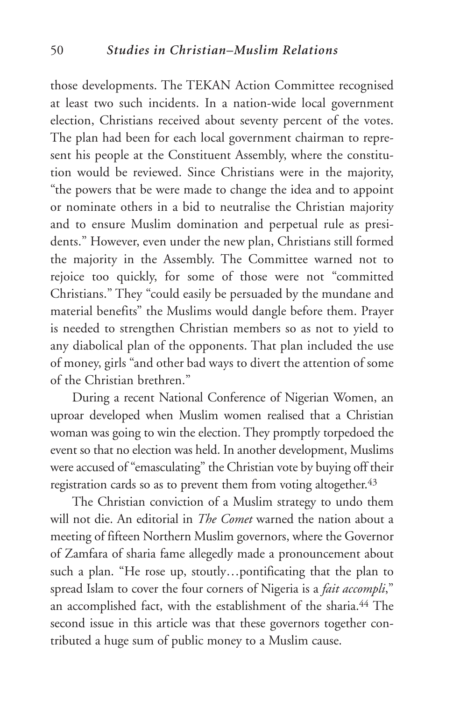those developments. The TEKAN Action Committee recognised at least two such incidents. In a nation-wide local government election, Christians received about seventy percent of the votes. The plan had been for each local government chairman to represent his people at the Constituent Assembly, where the constitution would be reviewed. Since Christians were in the majority, "the powers that be were made to change the idea and to appoint or nominate others in a bid to neutralise the Christian majority and to ensure Muslim domination and perpetual rule as presidents." However, even under the new plan, Christians still formed the majority in the Assembly. The Committee warned not to rejoice too quickly, for some of those were not "committed Christians." They "could easily be persuaded by the mundane and material benefits" the Muslims would dangle before them. Prayer is needed to strengthen Christian members so as not to yield to any diabolical plan of the opponents. That plan included the use of money, girls "and other bad ways to divert the attention of some of the Christian brethren."

During a recent National Conference of Nigerian Women, an uproar developed when Muslim women realised that a Christian woman was going to win the election. They promptly torpedoed the event so that no election was held. In another development, Muslims were accused of "emasculating" the Christian vote by buying off their registration cards so as to prevent them from voting altogether.<sup>43</sup>

The Christian conviction of a Muslim strategy to undo them will not die. An editorial in *The Comet* warned the nation about a meeting of fifteen Northern Muslim governors, where the Governor of Zamfara of sharia fame allegedly made a pronouncement about such a plan. "He rose up, stoutly…pontificating that the plan to spread Islam to cover the four corners of Nigeria is a *fait accompli*," an accomplished fact, with the establishment of the sharia.<sup>44</sup> The second issue in this article was that these governors together contributed a huge sum of public money to a Muslim cause.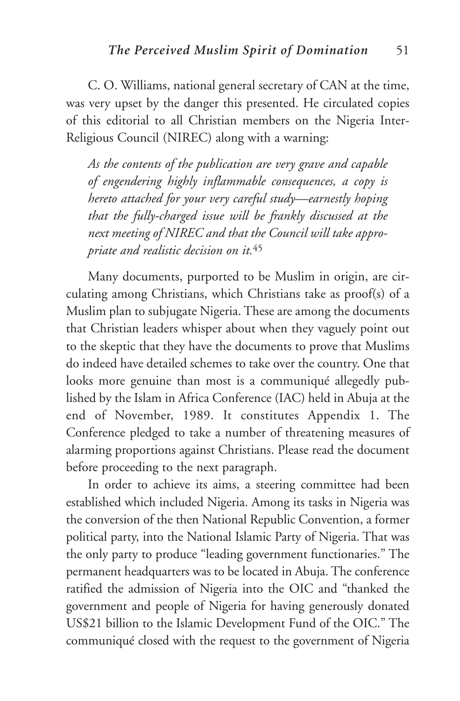C. O. Williams, national general secretary of CAN at the time, was very upset by the danger this presented. He circulated copies of this editorial to all Christian members on the Nigeria Inter-Religious Council (NIREC) along with a warning:

*As the contents of the publication are very grave and capable of engendering highly inflammable consequences, a copy is hereto attached for your very careful study—earnestly hoping that the fully-charged issue will be frankly discussed at the next meeting of NIREC and that the Council will take appropriate and realistic decision on it.*<sup>45</sup>

Many documents, purported to be Muslim in origin, are circulating among Christians, which Christians take as proof(s) of a Muslim plan to subjugate Nigeria. These are among the documents that Christian leaders whisper about when they vaguely point out to the skeptic that they have the documents to prove that Muslims do indeed have detailed schemes to take over the country. One that looks more genuine than most is a communiqué allegedly published by the Islam in Africa Conference (IAC) held in Abuja at the end of November, 1989. It constitutes Appendix 1. The Conference pledged to take a number of threatening measures of alarming proportions against Christians. Please read the document before proceeding to the next paragraph.

In order to achieve its aims, a steering committee had been established which included Nigeria. Among its tasks in Nigeria was the conversion of the then National Republic Convention, a former political party, into the National Islamic Party of Nigeria. That was the only party to produce "leading government functionaries." The permanent headquarters was to be located in Abuja. The conference ratified the admission of Nigeria into the OIC and "thanked the government and people of Nigeria for having generously donated US\$21 billion to the Islamic Development Fund of the OIC." The communiqué closed with the request to the government of Nigeria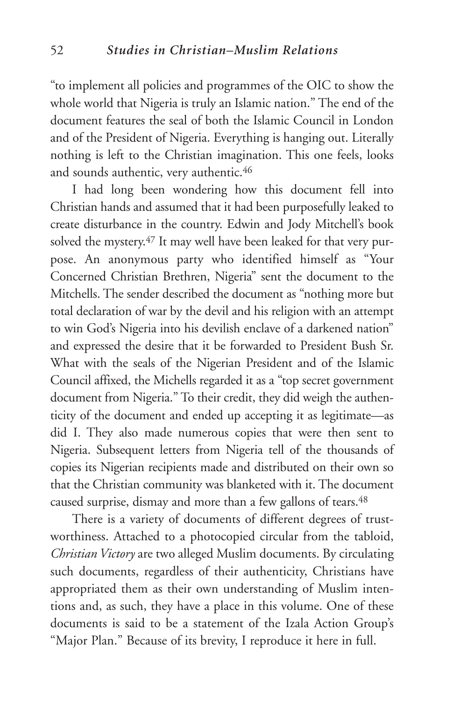"to implement all policies and programmes of the OIC to show the whole world that Nigeria is truly an Islamic nation." The end of the document features the seal of both the Islamic Council in London and of the President of Nigeria. Everything is hanging out. Literally nothing is left to the Christian imagination. This one feels, looks and sounds authentic, very authentic.<sup>46</sup>

I had long been wondering how this document fell into Christian hands and assumed that it had been purposefully leaked to create disturbance in the country. Edwin and Jody Mitchell's book solved the mystery.<sup>47</sup> It may well have been leaked for that very purpose. An anonymous party who identified himself as "Your Concerned Christian Brethren, Nigeria" sent the document to the Mitchells. The sender described the document as "nothing more but total declaration of war by the devil and his religion with an attempt to win God's Nigeria into his devilish enclave of a darkened nation" and expressed the desire that it be forwarded to President Bush Sr. What with the seals of the Nigerian President and of the Islamic Council affixed, the Michells regarded it as a "top secret government document from Nigeria." To their credit, they did weigh the authenticity of the document and ended up accepting it as legitimate—as did I. They also made numerous copies that were then sent to Nigeria. Subsequent letters from Nigeria tell of the thousands of copies its Nigerian recipients made and distributed on their own so that the Christian community was blanketed with it. The document caused surprise, dismay and more than a few gallons of tears.<sup>48</sup>

There is a variety of documents of different degrees of trustworthiness. Attached to a photocopied circular from the tabloid, *Christian Victory* are two alleged Muslim documents. By circulating such documents, regardless of their authenticity, Christians have appropriated them as their own understanding of Muslim intentions and, as such, they have a place in this volume. One of these documents is said to be a statement of the Izala Action Group's "Major Plan." Because of its brevity, I reproduce it here in full.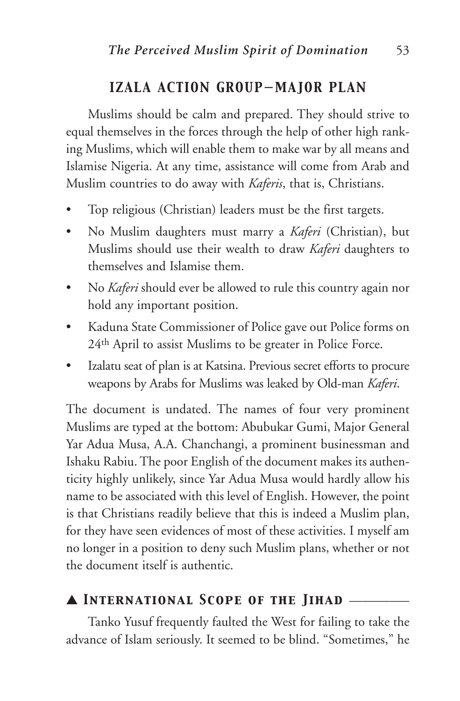# *IZALA ACTION GROUP—MAJOR PLAN*

Muslims should be calm and prepared. They should strive to equal themselves in the forces through the help of other high ranking Muslims, which will enable them to make war by all means and Islamise Nigeria. At any time, assistance will come from Arab and Muslim countries to do away with *Kaferis*, that is, Christians.

- Top religious (Christian) leaders must be the first targets.
- No Muslim daughters must marry a *Kaferi* (Christian), but Muslims should use their wealth to draw *Kaferi* daughters to themselves and Islamise them.
- No *Kaferi* should ever be allowed to rule this country again nor hold any important position.
- Kaduna State Commissioner of Police gave out Police forms on 24th April to assist Muslims to be greater in Police Force.
- Izalatu seat of plan is at Katsina. Previous secret efforts to procure weapons by Arabs for Muslims was leaked by Old-man *Kaferi*.

The document is undated. The names of four very prominent Muslims are typed at the bottom: Abubukar Gumi, Major General Yar Adua Musa, A.A. Chanchangi, a prominent businessman and Ishaku Rabiu. The poor English of the document makes its authenticity highly unlikely, since Yar Adua Musa would hardly allow his name to be associated with this level of English. However, the point is that Christians readily believe that this is indeed a Muslim plan, for they have seen evidences of most of these activities. I myself am no longer in a position to deny such Muslim plans, whether or not the document itself is authentic.

# ▲ *International Scope of the Jihad* \_\_\_\_\_\_\_\_\_

Tanko Yusuf frequently faulted the West for failing to take the advance of Islam seriously. It seemed to be blind. "Sometimes," he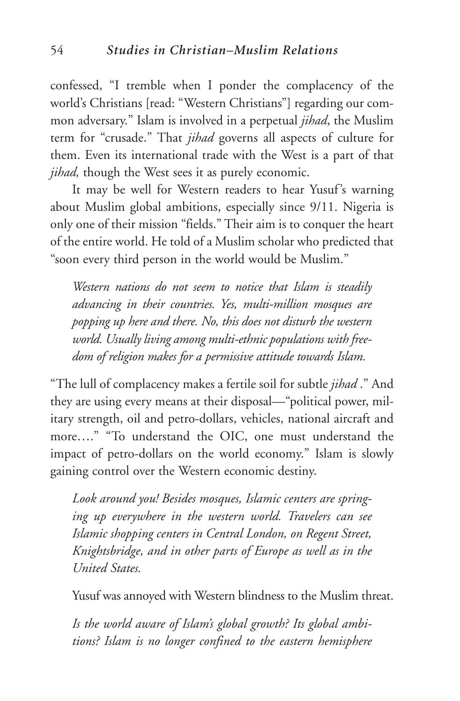confessed, "I tremble when I ponder the complacency of the world's Christians [read: "Western Christians"] regarding our common adversary." Islam is involved in a perpetual *jihad*, the Muslim term for "crusade." That *jihad* governs all aspects of culture for them. Even its international trade with the West is a part of that *jihad*, though the West sees it as purely economic.

It may be well for Western readers to hear Yusuf's warning about Muslim global ambitions, especially since 9/11. Nigeria is only one of their mission "fields." Their aim is to conquer the heart of the entire world. He told of a Muslim scholar who predicted that "soon every third person in the world would be Muslim."

*Western nations do not seem to notice that Islam is steadily advancing in their countries. Yes, multi-million mosques are popping up here and there. No, this does not disturb the western world. Usually living among multi-ethnic populations with freedom of religion makes for a permissive attitude towards Islam.* 

"The lull of complacency makes a fertile soil for subtle *jihad* ." And they are using every means at their disposal—"political power, military strength, oil and petro-dollars, vehicles, national aircraft and more…." "To understand the OIC, one must understand the impact of petro-dollars on the world economy." Islam is slowly gaining control over the Western economic destiny.

*Look around you! Besides mosques, Islamic centers are springing up everywhere in the western world. Travelers can see Islamic shopping centers in Central London, on Regent Street, Knightsbridge, and in other parts of Europe as well as in the United States.*

Yusuf was annoyed with Western blindness to the Muslim threat.

*Is the world aware of Islam's global growth? Its global ambitions? Islam is no longer confined to the eastern hemisphere*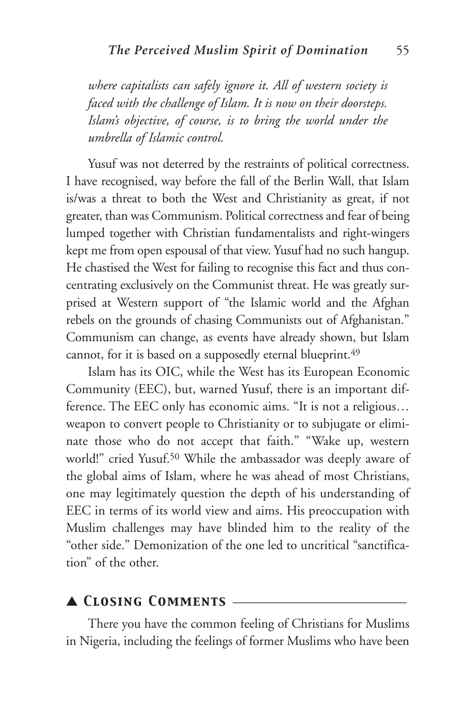*where capitalists can safely ignore it. All of western society is faced with the challenge of Islam. It is now on their doorsteps. Islam's objective, of course, is to bring the world under the umbrella of Islamic control.*

Yusuf was not deterred by the restraints of political correctness. I have recognised, way before the fall of the Berlin Wall, that Islam is/was a threat to both the West and Christianity as great, if not greater, than was Communism. Political correctness and fear of being lumped together with Christian fundamentalists and right-wingers kept me from open espousal of that view. Yusuf had no such hangup. He chastised the West for failing to recognise this fact and thus concentrating exclusively on the Communist threat. He was greatly surprised at Western support of "the Islamic world and the Afghan rebels on the grounds of chasing Communists out of Afghanistan." Communism can change, as events have already shown, but Islam cannot, for it is based on a supposedly eternal blueprint.<sup>49</sup>

Islam has its OIC, while the West has its European Economic Community (EEC), but, warned Yusuf, there is an important difference. The EEC only has economic aims. "It is not a religious… weapon to convert people to Christianity or to subjugate or eliminate those who do not accept that faith." "Wake up, western world!" cried Yusuf.50 While the ambassador was deeply aware of the global aims of Islam, where he was ahead of most Christians, one may legitimately question the depth of his understanding of EEC in terms of its world view and aims. His preoccupation with Muslim challenges may have blinded him to the reality of the "other side." Demonization of the one led to uncritical "sanctification" of the other.

# ▲ *Closing Comments* \_\_\_\_\_\_\_\_\_\_\_\_\_\_\_\_\_\_\_\_\_\_\_\_\_\_

There you have the common feeling of Christians for Muslims in Nigeria, including the feelings of former Muslims who have been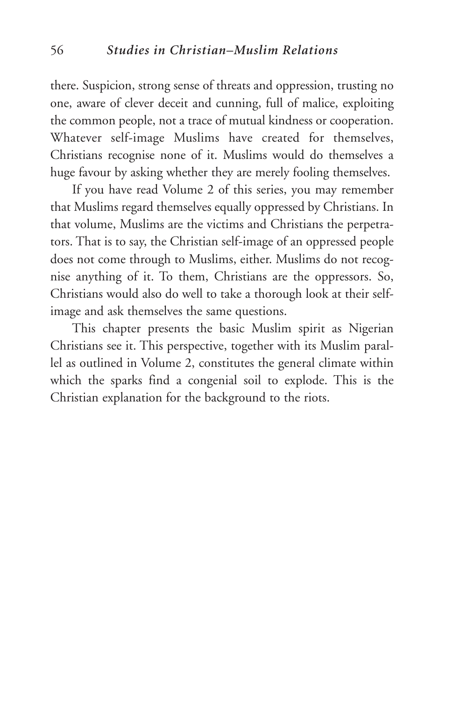there. Suspicion, strong sense of threats and oppression, trusting no one, aware of clever deceit and cunning, full of malice, exploiting the common people, not a trace of mutual kindness or cooperation. Whatever self-image Muslims have created for themselves, Christians recognise none of it. Muslims would do themselves a huge favour by asking whether they are merely fooling themselves.

If you have read Volume 2 of this series, you may remember that Muslims regard themselves equally oppressed by Christians. In that volume, Muslims are the victims and Christians the perpetrators. That is to say, the Christian self-image of an oppressed people does not come through to Muslims, either. Muslims do not recognise anything of it. To them, Christians are the oppressors. So, Christians would also do well to take a thorough look at their selfimage and ask themselves the same questions.

This chapter presents the basic Muslim spirit as Nigerian Christians see it. This perspective, together with its Muslim parallel as outlined in Volume 2, constitutes the general climate within which the sparks find a congenial soil to explode. This is the Christian explanation for the background to the riots.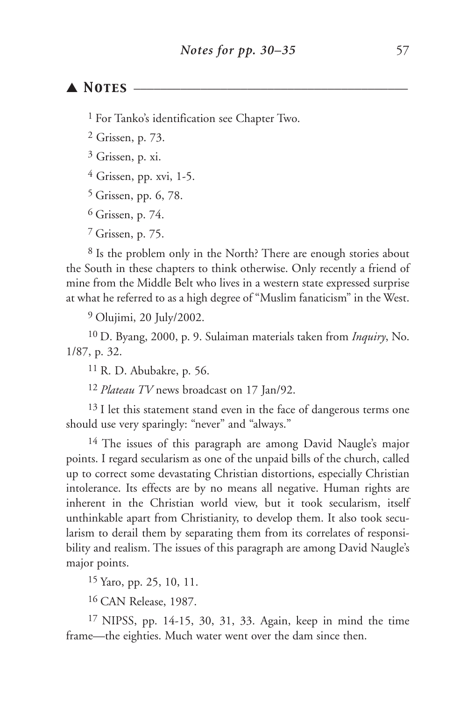#### ▲ *Notes* \_\_\_\_\_\_\_\_\_\_\_\_\_\_\_\_\_\_\_\_\_\_\_\_\_\_\_\_\_\_\_\_\_\_\_\_\_\_\_\_\_

1 For Tanko's identification see Chapter Two.

2 Grissen, p. 73.

3 Grissen, p. xi.

4 Grissen, pp. xvi, 1-5.

5 Grissen, pp. 6, 78.

6 Grissen, p. 74.

7 Grissen, p. 75.

8 Is the problem only in the North? There are enough stories about the South in these chapters to think otherwise. Only recently a friend of mine from the Middle Belt who lives in a western state expressed surprise at what he referred to as a high degree of "Muslim fanaticism" in the West.

9 Olujimi, 20 July/2002.

10 D. Byang, 2000, p. 9. Sulaiman materials taken from *Inquiry*, No. 1/87, p. 32.

11 R. D. Abubakre, p. 56.

12 *Plateau TV* news broadcast on 17 Jan/92.

<sup>13</sup> I let this statement stand even in the face of dangerous terms one should use very sparingly: "never" and "always."

<sup>14</sup> The issues of this paragraph are among David Naugle's major points. I regard secularism as one of the unpaid bills of the church, called up to correct some devastating Christian distortions, especially Christian intolerance. Its effects are by no means all negative. Human rights are inherent in the Christian world view, but it took secularism, itself unthinkable apart from Christianity, to develop them. It also took secularism to derail them by separating them from its correlates of responsibility and realism. The issues of this paragraph are among David Naugle's major points.

15 Yaro, pp. 25, 10, 11.

16 CAN Release, 1987.

17 NIPSS, pp. 14-15, 30, 31, 33. Again, keep in mind the time frame—the eighties. Much water went over the dam since then.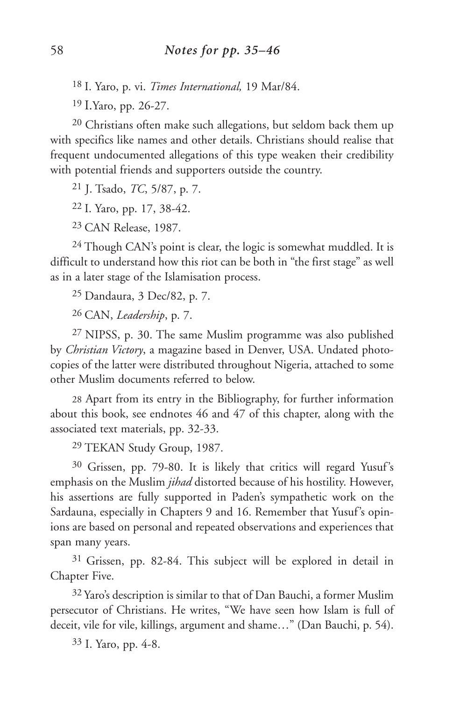18 I. Yaro, p. vi. *Times International,* 19 Mar/84.

19 I.Yaro, pp. 26-27.

20 Christians often make such allegations, but seldom back them up with specifics like names and other details. Christians should realise that frequent undocumented allegations of this type weaken their credibility with potential friends and supporters outside the country.

21 J. Tsado, *TC*, 5/87, p. 7.

22 I. Yaro, pp. 17, 38-42.

23 CAN Release, 1987.

<sup>24</sup> Though CAN's point is clear, the logic is somewhat muddled. It is difficult to understand how this riot can be both in "the first stage" as well as in a later stage of the Islamisation process.

25 Dandaura, 3 Dec/82, p. 7.

26 CAN, *Leadership*, p. 7.

27 NIPSS, p. 30. The same Muslim programme was also published by *Christian Victory*, a magazine based in Denver, USA. Undated photocopies of the latter were distributed throughout Nigeria, attached to some other Muslim documents referred to below.

28 Apart from its entry in the Bibliography, for further information about this book, see endnotes 46 and 47 of this chapter, along with the associated text materials, pp. 32-33.

29 TEKAN Study Group, 1987.

30 Grissen, pp. 79-80. It is likely that critics will regard Yusuf's emphasis on the Muslim *jihad* distorted because of his hostility. However, his assertions are fully supported in Paden's sympathetic work on the Sardauna, especially in Chapters 9 and 16. Remember that Yusuf's opinions are based on personal and repeated observations and experiences that span many years.

31 Grissen, pp. 82-84. This subject will be explored in detail in Chapter Five.

32 Yaro's description is similar to that of Dan Bauchi, a former Muslim persecutor of Christians. He writes, "We have seen how Islam is full of deceit, vile for vile, killings, argument and shame…" (Dan Bauchi, p. 54).

33 I. Yaro, pp. 4-8.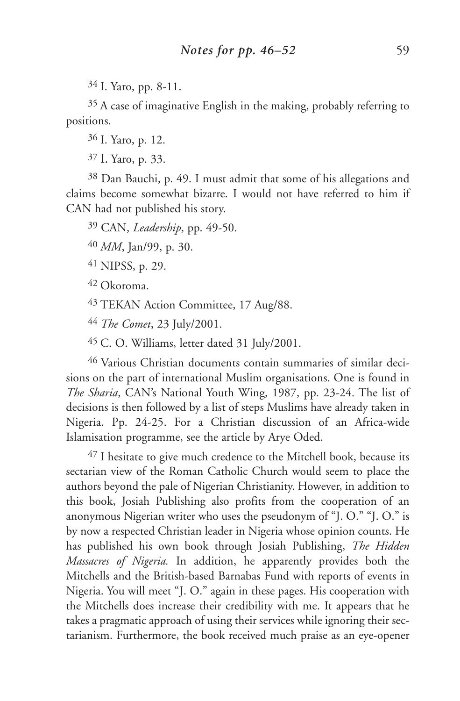34 I. Yaro, pp. 8-11.

35 A case of imaginative English in the making, probably referring to positions.

36 I. Yaro, p. 12.

37 I. Yaro, p. 33.

38 Dan Bauchi, p. 49. I must admit that some of his allegations and claims become somewhat bizarre. I would not have referred to him if CAN had not published his story.

39 CAN, *Leadership*, pp. 49-50.

40 *MM*, Jan/99, p. 30.

41 NIPSS, p. 29.

42 Okoroma.

43 TEKAN Action Committee, 17 Aug/88.

44 *The Comet*, 23 July/2001.

45 C. O. Williams, letter dated 31 July/2001.

46 Various Christian documents contain summaries of similar decisions on the part of international Muslim organisations. One is found in *The Sharia*, CAN's National Youth Wing, 1987, pp. 23-24. The list of decisions is then followed by a list of steps Muslims have already taken in Nigeria. Pp. 24-25. For a Christian discussion of an Africa-wide Islamisation programme, see the article by Arye Oded.

 $47$  I hesitate to give much credence to the Mitchell book, because its sectarian view of the Roman Catholic Church would seem to place the authors beyond the pale of Nigerian Christianity. However, in addition to this book, Josiah Publishing also profits from the cooperation of an anonymous Nigerian writer who uses the pseudonym of "J. O." "J. O." is by now a respected Christian leader in Nigeria whose opinion counts. He has published his own book through Josiah Publishing, *The Hidden Massacres of Nigeria.* In addition, he apparently provides both the Mitchells and the British-based Barnabas Fund with reports of events in Nigeria. You will meet "J. O." again in these pages. His cooperation with the Mitchells does increase their credibility with me. It appears that he takes a pragmatic approach of using their services while ignoring their sectarianism. Furthermore, the book received much praise as an eye-opener